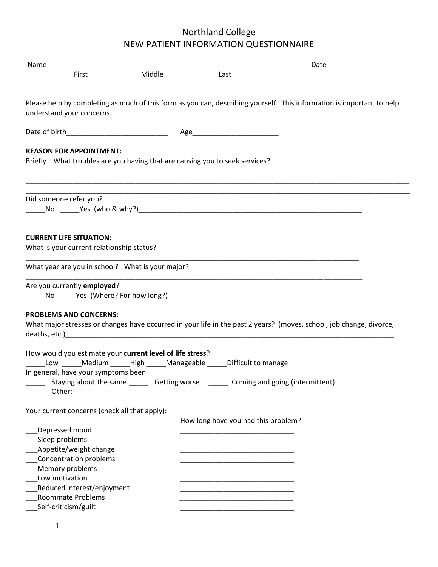| First                                                                       | Middle | Last                                                                                                                  |
|-----------------------------------------------------------------------------|--------|-----------------------------------------------------------------------------------------------------------------------|
| understand your concerns.                                                   |        | Please help by completing as much of this form as you can, describing yourself. This information is important to help |
|                                                                             |        |                                                                                                                       |
| <b>REASON FOR APPOINTMENT:</b>                                              |        |                                                                                                                       |
| Briefly-What troubles are you having that are causing you to seek services? |        |                                                                                                                       |
|                                                                             |        |                                                                                                                       |
| Did someone refer you?                                                      |        |                                                                                                                       |
|                                                                             |        |                                                                                                                       |
| <b>CURRENT LIFE SITUATION:</b>                                              |        |                                                                                                                       |
| What is your current relationship status?                                   |        |                                                                                                                       |
| What year are you in school? What is your major?                            |        |                                                                                                                       |
|                                                                             |        |                                                                                                                       |
| Are you currently employed?                                                 |        |                                                                                                                       |
| <b>PROBLEMS AND CONCERNS:</b>                                               |        | What major stresses or changes have occurred in your life in the past 2 years? (moves, school, job change, divorce,   |
| How would you estimate your current level of life stress?                   |        |                                                                                                                       |
|                                                                             |        | Low Medium High Manageable Difficult to manage                                                                        |
| In general, have your symptoms been                                         |        | Staying about the same ________ Getting worse ________ Coming and going (intermittent)                                |
| Your current concerns (check all that apply):                               |        |                                                                                                                       |
|                                                                             |        | How long have you had this problem?                                                                                   |
| Depressed mood                                                              |        |                                                                                                                       |
| Sleep problems                                                              |        |                                                                                                                       |
| Appetite/weight change<br>Concentration problems                            |        |                                                                                                                       |
| Memory problems                                                             |        |                                                                                                                       |
| Low motivation                                                              |        |                                                                                                                       |
| Reduced interest/enjoyment                                                  |        |                                                                                                                       |
| <b>Roommate Problems</b><br>Self-criticism/guilt                            |        |                                                                                                                       |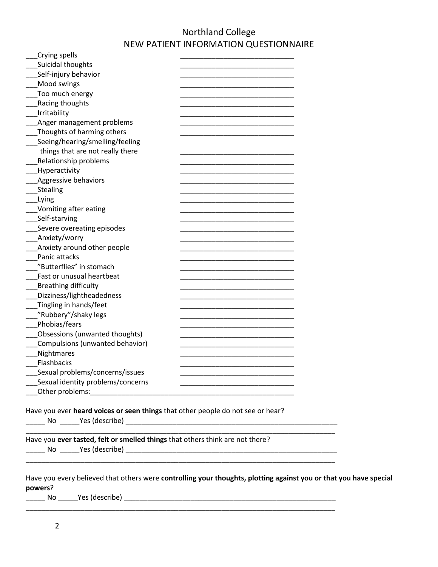| Crying spells                     |  |
|-----------------------------------|--|
| Suicidal thoughts                 |  |
| Self-injury behavior              |  |
| Mood swings                       |  |
| Too much energy                   |  |
| Racing thoughts                   |  |
| Irritability                      |  |
| Anger management problems         |  |
| Thoughts of harming others        |  |
| Seeing/hearing/smelling/feeling   |  |
| things that are not really there  |  |
| Relationship problems             |  |
| Hyperactivity                     |  |
| <b>Aggressive behaviors</b>       |  |
| Stealing                          |  |
| Lying                             |  |
| Vomiting after eating             |  |
| Self-starving                     |  |
| Severe overeating episodes        |  |
| Anxiety/worry                     |  |
| Anxiety around other people       |  |
| Panic attacks                     |  |
| "Butterflies" in stomach          |  |
| Fast or unusual heartbeat         |  |
| <b>Breathing difficulty</b>       |  |
| Dizziness/lightheadedness         |  |
| Tingling in hands/feet            |  |
| "Rubbery"/shaky legs              |  |
| Phobias/fears                     |  |
| Obsessions (unwanted thoughts)    |  |
|                                   |  |
| Compulsions (unwanted behavior)   |  |
| Nightmares                        |  |
| Flashbacks                        |  |
| Sexual problems/concerns/issues   |  |
| Sexual identity problems/concerns |  |
| Other problems:                   |  |

Have you ever **heard voices or seen things** that other people do not see or hear?

\_\_\_\_\_ No \_\_\_\_\_Yes (describe) \_\_\_\_\_\_\_\_\_\_\_\_\_\_\_\_\_\_\_\_\_\_\_\_\_\_\_\_\_\_\_\_\_\_\_\_\_\_\_\_\_\_\_\_\_\_\_\_\_\_\_\_\_\_

Have you **ever tasted, felt or smelled things** that others think are not there?

\_\_\_\_\_ No \_\_\_\_\_Yes (describe) \_\_\_\_\_\_\_\_\_\_\_\_\_\_\_\_\_\_\_\_\_\_\_\_\_\_\_\_\_\_\_\_\_\_\_\_\_\_\_\_\_\_\_\_\_\_\_\_\_\_\_\_\_\_

| Have you every believed that others were controlling your thoughts, plotting against you or that you have special |  |
|-------------------------------------------------------------------------------------------------------------------|--|
| powers?                                                                                                           |  |

 $\overline{\phantom{a}}$  ,  $\overline{\phantom{a}}$  ,  $\overline{\phantom{a}}$  ,  $\overline{\phantom{a}}$  ,  $\overline{\phantom{a}}$  ,  $\overline{\phantom{a}}$  ,  $\overline{\phantom{a}}$  ,  $\overline{\phantom{a}}$  ,  $\overline{\phantom{a}}$  ,  $\overline{\phantom{a}}$  ,  $\overline{\phantom{a}}$  ,  $\overline{\phantom{a}}$  ,  $\overline{\phantom{a}}$  ,  $\overline{\phantom{a}}$  ,  $\overline{\phantom{a}}$  ,  $\overline{\phantom{a}}$ 

\_\_\_\_\_\_\_\_\_\_\_\_\_\_\_\_\_\_\_\_\_\_\_\_\_\_\_\_\_\_\_\_\_\_\_\_\_\_\_\_\_\_\_\_\_\_\_\_\_\_\_\_\_\_\_\_\_\_\_\_\_\_\_\_\_\_\_\_\_\_\_\_\_\_\_\_\_\_\_

\_\_\_\_\_\_\_\_\_\_\_\_\_\_\_\_\_\_\_\_\_\_\_\_\_\_\_\_\_\_\_\_\_\_\_\_\_\_\_\_\_\_\_\_\_\_\_\_\_\_\_\_\_\_\_\_\_\_\_\_\_\_\_\_\_\_\_\_\_\_\_\_\_\_\_\_\_\_\_

\_\_\_\_\_ No \_\_\_\_\_Yes (describe) \_\_\_\_\_\_\_\_\_\_\_\_\_\_\_\_\_\_\_\_\_\_\_\_\_\_\_\_\_\_\_\_\_\_\_\_\_\_\_\_\_\_\_\_\_\_\_\_\_\_\_\_\_\_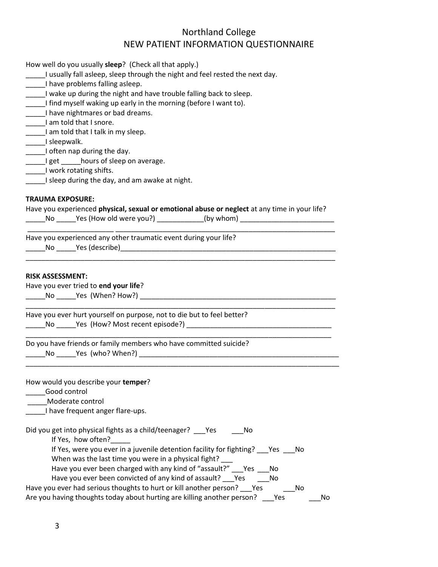| How well do you usually sleep? (Check all that apply.)                                        |  |  |  |  |  |  |
|-----------------------------------------------------------------------------------------------|--|--|--|--|--|--|
| I usually fall asleep, sleep through the night and feel rested the next day.                  |  |  |  |  |  |  |
| I have problems falling asleep.                                                               |  |  |  |  |  |  |
| ____I wake up during the night and have trouble falling back to sleep.                        |  |  |  |  |  |  |
| I find myself waking up early in the morning (before I want to).                              |  |  |  |  |  |  |
| I have nightmares or bad dreams.                                                              |  |  |  |  |  |  |
| I am told that I snore.                                                                       |  |  |  |  |  |  |
| I am told that I talk in my sleep.                                                            |  |  |  |  |  |  |
| ______I sleepwalk.                                                                            |  |  |  |  |  |  |
| ______I often nap during the day.                                                             |  |  |  |  |  |  |
| ______I get ______hours of sleep on average.                                                  |  |  |  |  |  |  |
| ______I work rotating shifts.                                                                 |  |  |  |  |  |  |
| ____I sleep during the day, and am awake at night.                                            |  |  |  |  |  |  |
|                                                                                               |  |  |  |  |  |  |
| <b>TRAUMA EXPOSURE:</b>                                                                       |  |  |  |  |  |  |
| Have you experienced physical, sexual or emotional abuse or neglect at any time in your life? |  |  |  |  |  |  |
| ______No ______Yes (How old were you?) _____________(by whom) _________________________       |  |  |  |  |  |  |
|                                                                                               |  |  |  |  |  |  |
| Have you experienced any other traumatic event during your life?                              |  |  |  |  |  |  |
|                                                                                               |  |  |  |  |  |  |
|                                                                                               |  |  |  |  |  |  |
| Have you ever tried to end your life?                                                         |  |  |  |  |  |  |
| Have you ever hurt yourself on purpose, not to die but to feel better?                        |  |  |  |  |  |  |
|                                                                                               |  |  |  |  |  |  |
|                                                                                               |  |  |  |  |  |  |
| Do you have friends or family members who have committed suicide?                             |  |  |  |  |  |  |
|                                                                                               |  |  |  |  |  |  |
|                                                                                               |  |  |  |  |  |  |
|                                                                                               |  |  |  |  |  |  |
| How would you describe your temper?                                                           |  |  |  |  |  |  |
| Good control                                                                                  |  |  |  |  |  |  |
| Moderate control                                                                              |  |  |  |  |  |  |
| I have frequent anger flare-ups.                                                              |  |  |  |  |  |  |
|                                                                                               |  |  |  |  |  |  |
| Did you get into physical fights as a child/teenager? __ Yes<br>No<br>If Yes, how often?      |  |  |  |  |  |  |
| If Yes, were you ever in a juvenile detention facility for fighting? Yes<br>No.               |  |  |  |  |  |  |
| When was the last time you were in a physical fight?                                          |  |  |  |  |  |  |
|                                                                                               |  |  |  |  |  |  |
| Have you ever been charged with any kind of "assault?" Yes<br>No                              |  |  |  |  |  |  |
| Have you ever been convicted of any kind of assault? ___ Yes<br>No                            |  |  |  |  |  |  |
| Have you ever had serious thoughts to hurt or kill another person? ___ Yes<br>No              |  |  |  |  |  |  |
| Are you having thoughts today about hurting are killing another person?<br>Yes<br>No          |  |  |  |  |  |  |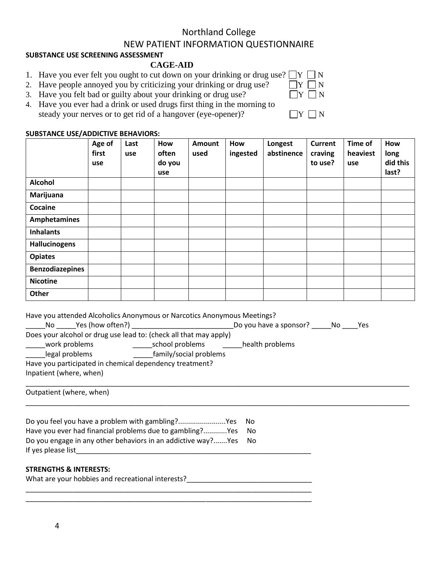#### **SUBSTANCE USE SCREENING ASSESSMENT**

#### **CAGE-AID**

- 1. Have you ever felt you ought to cut down on your drinking or drug use?  $\Box Y \Box N$ <br>2. Have people appoyed you by criticizing your drinking or drug use?
- 2. Have people annoyed you by criticizing your drinking or drug use?
- 3. Have you felt bad or guilty about your drinking or drug use?
- 4. Have you ever had a drink or used drugs first thing in the morning to steady your nerves or to get rid of a hangover (eye-opener)?

#### **SUBSTANCE USE/ADDICTIVE BEHAVIORS:**

|                        | Age of<br>first<br>use | Last<br>use | How<br>often<br>do you<br><b>use</b> | Amount<br>used | How<br>ingested | Longest<br>abstinence | <b>Current</b><br>craving<br>to use? | Time of<br>heaviest<br>use | How<br>long<br>did this<br>last? |
|------------------------|------------------------|-------------|--------------------------------------|----------------|-----------------|-----------------------|--------------------------------------|----------------------------|----------------------------------|
| <b>Alcohol</b>         |                        |             |                                      |                |                 |                       |                                      |                            |                                  |
| Marijuana              |                        |             |                                      |                |                 |                       |                                      |                            |                                  |
| Cocaine                |                        |             |                                      |                |                 |                       |                                      |                            |                                  |
| Amphetamines           |                        |             |                                      |                |                 |                       |                                      |                            |                                  |
| <b>Inhalants</b>       |                        |             |                                      |                |                 |                       |                                      |                            |                                  |
| Hallucinogens          |                        |             |                                      |                |                 |                       |                                      |                            |                                  |
| <b>Opiates</b>         |                        |             |                                      |                |                 |                       |                                      |                            |                                  |
| <b>Benzodiazepines</b> |                        |             |                                      |                |                 |                       |                                      |                            |                                  |
| <b>Nicotine</b>        |                        |             |                                      |                |                 |                       |                                      |                            |                                  |
| Other                  |                        |             |                                      |                |                 |                       |                                      |                            |                                  |

|  |  | Have you attended Alcoholics Anonymous or Narcotics Anonymous Meetings? |  |
|--|--|-------------------------------------------------------------------------|--|
|  |  |                                                                         |  |

| Yes (how often?)<br>No.                                           |                        | Do you have a sponsor? | No. | Yes |
|-------------------------------------------------------------------|------------------------|------------------------|-----|-----|
| Does your alcohol or drug use lead to: (check all that may apply) |                        |                        |     |     |
| work problems                                                     | school problems        | health problems        |     |     |
| legal problems                                                    | family/social problems |                        |     |     |
| Have you participated in chemical dependency treatment?           |                        |                        |     |     |
| Inpatient (where, when)                                           |                        |                        |     |     |

\_\_\_\_\_\_\_\_\_\_\_\_\_\_\_\_\_\_\_\_\_\_\_\_\_\_\_\_\_\_\_\_\_\_\_\_\_\_\_\_\_\_\_\_\_\_\_\_\_\_\_\_\_\_\_\_\_\_\_\_\_\_\_\_\_\_\_\_\_\_\_\_\_\_\_\_\_\_\_\_\_\_\_\_\_\_\_\_\_\_\_\_\_\_\_\_\_\_

\_\_\_\_\_\_\_\_\_\_\_\_\_\_\_\_\_\_\_\_\_\_\_\_\_\_\_\_\_\_\_\_\_\_\_\_\_\_\_\_\_\_\_\_\_\_\_\_\_\_\_\_\_\_\_\_\_\_\_\_\_\_\_\_\_\_\_\_\_\_\_\_\_\_\_\_\_\_\_\_\_\_\_\_\_\_\_\_\_\_\_\_\_\_\_\_\_\_

Outpatient (where, when)

| Do you feel you have a problem with gambling?Yes             | - No |
|--------------------------------------------------------------|------|
| Have you ever had financial problems due to gambling?Yes     | - No |
| Do you engage in any other behaviors in an addictive way?Yes | - No |
| If yes please list                                           |      |

#### **STRENGTHS & INTERESTS:**

| What are your hobbies and recreational interests? |  |
|---------------------------------------------------|--|
|                                                   |  |

\_\_\_\_\_\_\_\_\_\_\_\_\_\_\_\_\_\_\_\_\_\_\_\_\_\_\_\_\_\_\_\_\_\_\_\_\_\_\_\_\_\_\_\_\_\_\_\_\_\_\_\_\_\_\_\_\_\_\_\_\_\_\_\_\_\_\_\_\_\_\_\_\_

| í |
|---|
|   |

| _______ | _______ |  |
|---------|---------|--|
|---------|---------|--|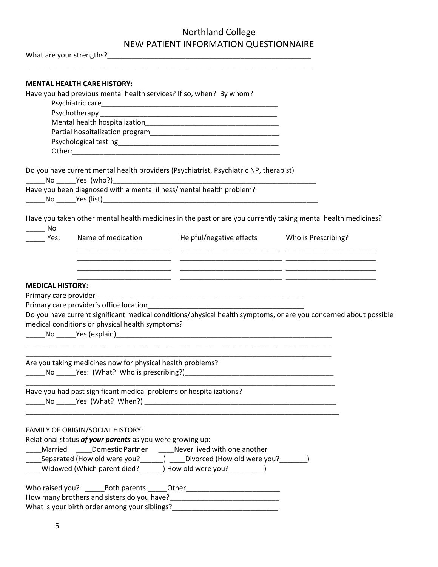\_\_\_\_\_\_\_\_\_\_\_\_\_\_\_\_\_\_\_\_\_\_\_\_\_\_\_\_\_\_\_\_\_\_\_\_\_\_\_\_\_\_\_\_\_\_\_\_\_\_\_\_\_\_\_\_\_\_\_\_\_\_\_\_\_\_\_\_\_\_\_\_\_

What are your strengths?\_\_\_\_\_\_\_\_\_\_\_\_\_\_\_\_\_\_\_\_\_\_\_\_\_\_\_\_\_\_\_\_\_\_\_\_\_\_\_\_\_\_\_\_\_\_\_\_\_\_\_\_

|                         | <b>MENTAL HEALTH CARE HISTORY:</b>                                  |                                                                                       |                                                                                                                  |
|-------------------------|---------------------------------------------------------------------|---------------------------------------------------------------------------------------|------------------------------------------------------------------------------------------------------------------|
|                         | Have you had previous mental health services? If so, when? By whom? |                                                                                       |                                                                                                                  |
|                         |                                                                     |                                                                                       |                                                                                                                  |
|                         |                                                                     |                                                                                       |                                                                                                                  |
|                         |                                                                     |                                                                                       |                                                                                                                  |
|                         |                                                                     |                                                                                       |                                                                                                                  |
|                         |                                                                     |                                                                                       |                                                                                                                  |
|                         |                                                                     | Do you have current mental health providers (Psychiatrist, Psychiatric NP, therapist) |                                                                                                                  |
|                         | No Yes (who?)                                                       |                                                                                       |                                                                                                                  |
|                         |                                                                     | Have you been diagnosed with a mental illness/mental health problem?                  |                                                                                                                  |
| $\rule{1em}{0.15mm}$ No |                                                                     |                                                                                       | Have you taken other mental health medicines in the past or are you currently taking mental health medicines?    |
| Yes:                    | Name of medication                                                  | Helpful/negative effects Who is Prescribing?                                          |                                                                                                                  |
|                         |                                                                     |                                                                                       |                                                                                                                  |
|                         |                                                                     |                                                                                       |                                                                                                                  |
| <b>MEDICAL HISTORY:</b> |                                                                     |                                                                                       |                                                                                                                  |
|                         | Primary care provider's office location                             |                                                                                       |                                                                                                                  |
|                         |                                                                     |                                                                                       | Do you have current significant medical conditions/physical health symptoms, or are you concerned about possible |
|                         | medical conditions or physical health symptoms?                     |                                                                                       |                                                                                                                  |
|                         |                                                                     |                                                                                       |                                                                                                                  |
|                         |                                                                     |                                                                                       |                                                                                                                  |
|                         | Are you taking medicines now for physical health problems?          |                                                                                       |                                                                                                                  |
|                         |                                                                     |                                                                                       |                                                                                                                  |
|                         | Have you had past significant medical problems or hospitalizations? |                                                                                       |                                                                                                                  |
|                         |                                                                     |                                                                                       |                                                                                                                  |
|                         | FAMILY OF ORIGIN/SOCIAL HISTORY:                                    |                                                                                       |                                                                                                                  |
|                         | Relational status of your parents as you were growing up:           |                                                                                       |                                                                                                                  |
|                         |                                                                     | ____Married _____Domestic Partner _____Never lived with one another                   |                                                                                                                  |
|                         |                                                                     | _____Separated (How old were you?______) _____Divorced (How old were you?_______)     |                                                                                                                  |
|                         |                                                                     | ____Widowed (Which parent died?______) How old were you?__________)                   |                                                                                                                  |
|                         |                                                                     |                                                                                       |                                                                                                                  |
|                         |                                                                     |                                                                                       |                                                                                                                  |
|                         |                                                                     |                                                                                       |                                                                                                                  |
|                         |                                                                     |                                                                                       |                                                                                                                  |